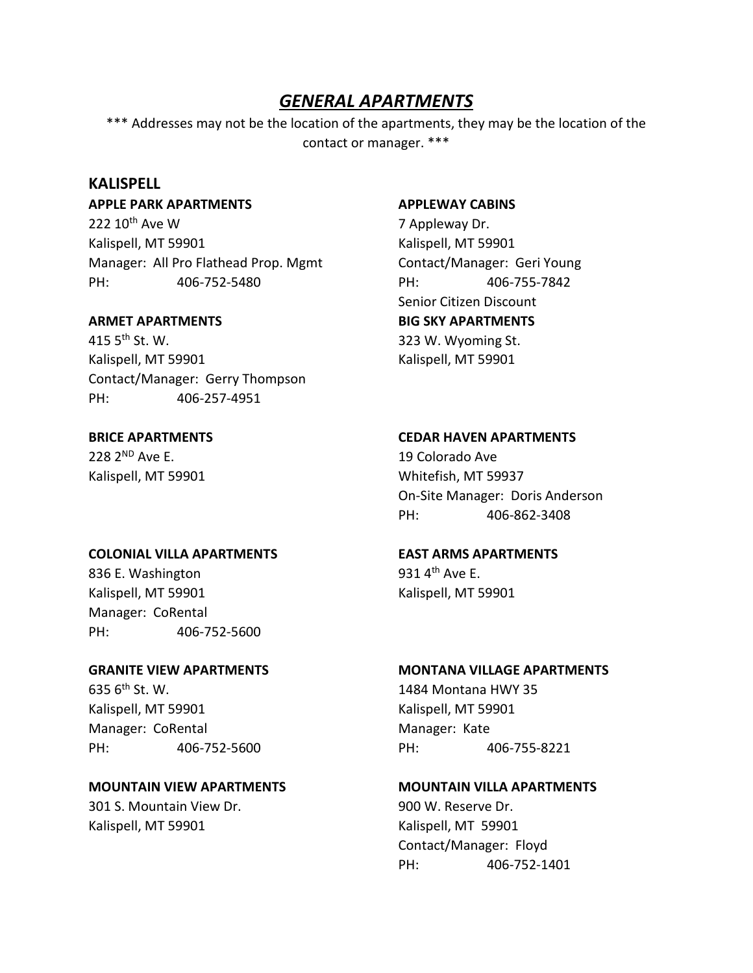## *GENERAL APARTMENTS*

\*\*\* Addresses may not be the location of the apartments, they may be the location of the contact or manager. \*\*\*

## **KALISPELL**

**APPLE PARK APARTMENTS APPLEWAY CABINS**

222 10<sup>th</sup> Ave W 7 Appleway Dr. Kalispell, MT 59901 Kalispell, MT 59901 Manager: All Pro Flathead Prop. Mgmt Contact/Manager: Geri Young PH: 406-752-5480 PH: 406-755-7842

415 5th St. W. 323 W. Wyoming St. Kalispell, MT 59901 Kalispell, MT 59901 Contact/Manager: Gerry Thompson PH: 406-257-4951

228 2<sup>ND</sup> Ave E. 228 2<sup>ND</sup> Ave E.

## **COLONIAL VILLA APARTMENTS EAST ARMS APARTMENTS**

836 E. Washington  $931.4<sup>th</sup>$  Ave E. Kalispell, MT 59901 Kalispell, MT 59901 Manager: CoRental PH: 406-752-5600

635 6th St. W. 1484 Montana HWY 35 Kalispell, MT 59901 Kalispell, MT 59901 Manager: CoRental Manager: Kate PH: 406-752-5600 PH: 406-755-8221

# 301 S. Mountain View Dr. 900 W. Reserve Dr.

Kalispell, MT 59901 Kalispell, MT 59901

Senior Citizen Discount **ARMET APARTMENTS BIG SKY APARTMENTS**

## **BRICE APARTMENTS CEDAR HAVEN APARTMENTS**

Kalispell, MT 59901 Whitefish, MT 59937 On-Site Manager: Doris Anderson PH: 406-862-3408

## **GRANITE VIEW APARTMENTS MONTANA VILLAGE APARTMENTS**

## **MOUNTAIN VIEW APARTMENTS MOUNTAIN VILLA APARTMENTS**

Contact/Manager: Floyd PH: 406-752-1401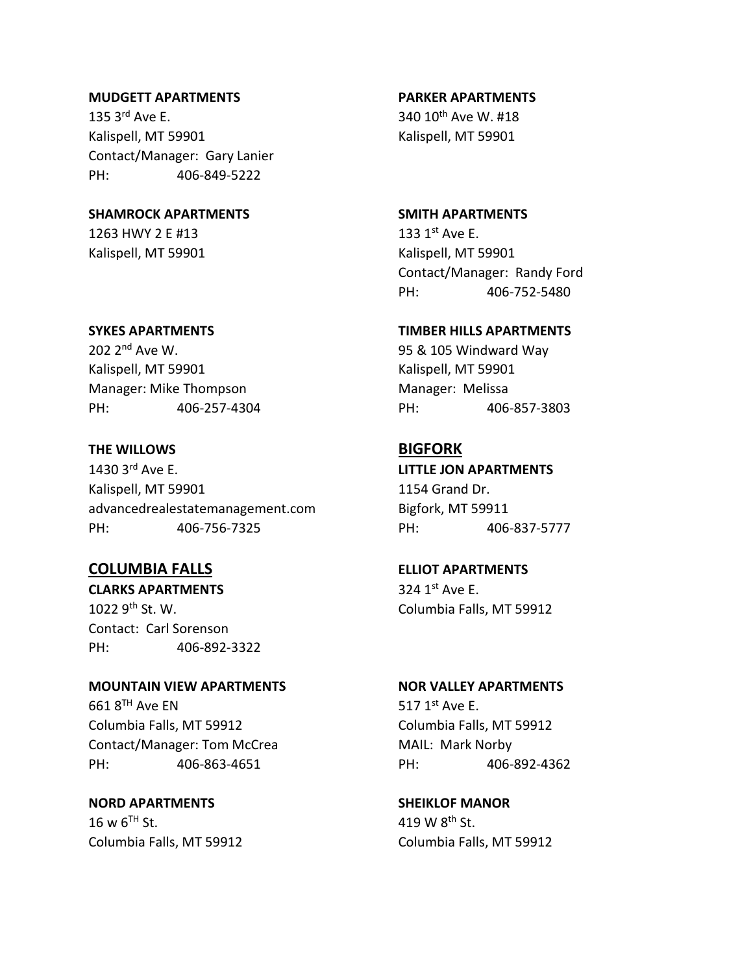## **MUDGETT APARTMENTS PARKER APARTMENTS**

135 3<sup>rd</sup> Ave E. 340 10<sup>th</sup> Ave W. #18 Kalispell, MT 59901 Kalispell, MT 59901 Contact/Manager: Gary Lanier PH: 406-849-5222

## **SHAMROCK APARTMENTS SMITH APARTMENTS**

1263 HWY 2 E #13 133 1st Ave E. Kalispell, MT 59901 Kalispell, MT 59901

202 2<sup>nd</sup> Ave W. 202 2<sup>nd</sup> Ave W. Kalispell, MT 59901 Kalispell, MT 59901 Manager: Mike Thompson Manager: Melissa PH: 406-257-4304 PH: 406-857-3803

## **THE WILLOWS BIGFORK**

1430 3rd Ave E. **LITTLE JON APARTMENTS** Kalispell, MT 59901 1154 Grand Dr. advancedrealestatemanagement.com Bigfork, MT 59911 PH: 406-756-7325 PH: 406-837-5777

## **COLUMBIA FALLS ELLIOT APARTMENTS**

**CLARKS APARTMENTS** 324 1<sup>st</sup> Ave E. 1022 9<sup>th</sup> St. W. Columbia Falls, MT 59912 Contact: Carl Sorenson PH: 406-892-3322

## **MOUNTAIN VIEW APARTMENTS NOR VALLEY APARTMENTS**  $6618<sup>TH</sup>$  Ave EN 517 1<sup>st</sup> Ave E. Columbia Falls, MT 59912 Columbia Falls, MT 59912 Contact/Manager: Tom McCrea MAIL: Mark Norby

**NORD APARTMENTS SHEIKLOF MANOR**  $16 \text{ w } 6^{\text{TH}}$  St.  $419 \text{ W } 8^{\text{th}}$  St. Columbia Falls, MT 59912 Columbia Falls, MT 59912

Contact/Manager: Randy Ford PH: 406-752-5480

## **SYKES APARTMENTS TIMBER HILLS APARTMENTS**

PH: 406-863-4651 PH: 406-892-4362